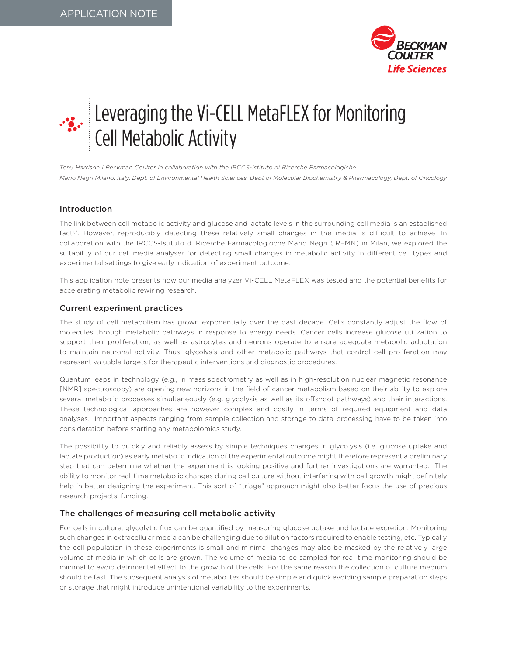

# Leveraging the Vi-CELL MetaFLEX for Monitoring Cell Metabolic Activity

*Tony Harrison | Beckman Coulter in collaboration with the IRCCS-Istituto di Ricerche Farmacologiche Mario Negri Milano, Italy, Dept. of Environmental Health Sciences, Dept of Molecular Biochemistry & Pharmacology, Dept. of Oncology*

# Introduction

The link between cell metabolic activity and glucose and lactate levels in the surrounding cell media is an established fact<sup>1,2</sup>. However, reproducibly detecting these relatively small changes in the media is difficult to achieve. In collaboration with the IRCCS-Istituto di Ricerche Farmacologioche Mario Negri (IRFMN) in Milan, we explored the suitability of our cell media analyser for detecting small changes in metabolic activity in different cell types and experimental settings to give early indication of experiment outcome.

This application note presents how our media analyzer Vi-CELL MetaFLEX was tested and the potential benefits for accelerating metabolic rewiring research.

## Current experiment practices

The study of cell metabolism has grown exponentially over the past decade. Cells constantly adjust the flow of molecules through metabolic pathways in response to energy needs. Cancer cells increase glucose utilization to support their proliferation, as well as astrocytes and neurons operate to ensure adequate metabolic adaptation to maintain neuronal activity. Thus, glycolysis and other metabolic pathways that control cell proliferation may represent valuable targets for therapeutic interventions and diagnostic procedures.

Quantum leaps in technology (e.g., in mass spectrometry as well as in high-resolution nuclear magnetic resonance [NMR] spectroscopy) are opening new horizons in the field of cancer metabolism based on their ability to explore several metabolic processes simultaneously (e.g. glycolysis as well as its offshoot pathways) and their interactions. These technological approaches are however complex and costly in terms of required equipment and data analyses. Important aspects ranging from sample collection and storage to data-processing have to be taken into consideration before starting any metabolomics study.

The possibility to quickly and reliably assess by simple techniques changes in glycolysis (i.e. glucose uptake and lactate production) as early metabolic indication of the experimental outcome might therefore represent a preliminary step that can determine whether the experiment is looking positive and further investigations are warranted. The ability to monitor real-time metabolic changes during cell culture without interfering with cell growth might definitely help in better designing the experiment. This sort of "triage" approach might also better focus the use of precious research projects' funding.

# The challenges of measuring cell metabolic activity

For cells in culture, glycolytic flux can be quantified by measuring glucose uptake and lactate excretion. Monitoring such changes in extracellular media can be challenging due to dilution factors required to enable testing, etc. Typically the cell population in these experiments is small and minimal changes may also be masked by the relatively large volume of media in which cells are grown. The volume of media to be sampled for real-time monitoring should be minimal to avoid detrimental effect to the growth of the cells. For the same reason the collection of culture medium should be fast. The subsequent analysis of metabolites should be simple and quick avoiding sample preparation steps or storage that might introduce unintentional variability to the experiments.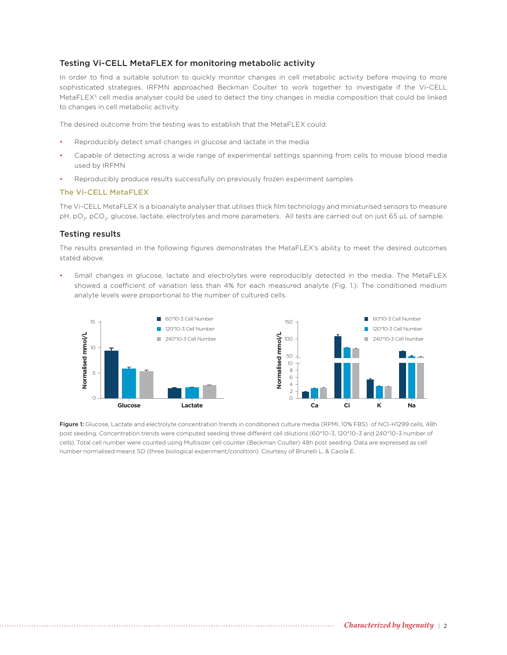# Testing Vi-CELL MetaFLEX for monitoring metabolic activity

In order to find a suitable solution to quickly monitor changes in cell metabolic activity before moving to more sophisticated strategies, IRFMN approached Beckman Coulter to work together to investigate if the Vi-CELL MetaFLEX<sup>3</sup> cell media analyser could be used to detect the tiny changes in media composition that could be linked to changes in cell metabolic activity.

The desired outcome from the testing was to establish that the MetaFLEX could:

- Reproducibly detect small changes in glucose and lactate in the media
- Capable of detecting across a wide range of experimental settings spanning from cells to mouse blood media used by IRFMN
- Reproducibly produce results successfully on previously frozen experiment samples

#### The Vi-CELL MetaFLEX

The Vi-CELL MetaFLEX is a bioanalyte analyser that utilises thick film technology and miniaturised sensors to measure pH, pO<sub>2</sub>, pCO<sub>2</sub>, glucose, lactate, electrolytes and more parameters. All tests are carried out on just 65 μL of sample.

## Testing results

The results presented in the following figures demonstrates the MetaFLEX's ability to meet the desired outcomes stated above.

Small changes in glucose, lactate and electrolytes were reproducibly detected in the media. The MetaFLEX showed a coefficient of variation less than 4% for each measured analyte (Fig. 1.). The conditioned medium analyte levels were proportional to the number of cultured cells.



Figure 1: Glucose, Lactate and electrolyte concentration trends in conditioned culture media (RPMI, 10% FBS) of NCI-H1299 cells, 48h post seeding. Concentration trends were computed seeding three different cell dilutions (60\*10-3, 120\*10-3 and 240\*10-3 number of cells). Total cell number were counted using Multisizer cell counter (Beckman Coulter) 48h post seeding. Data are expressed as cell number normalised mean± SD (three biological experiment/condition). Courtesy of Brunelli L. & Caiola E.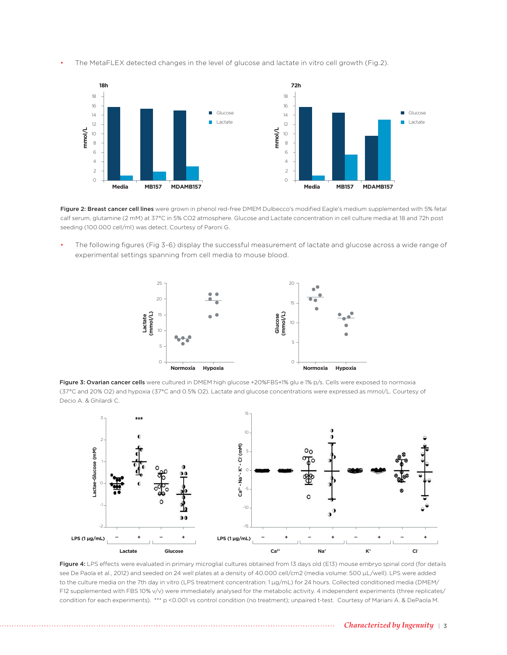• The MetaFLEX detected changes in the level of glucose and lactate in vitro cell growth (Fig.2).



Figure 2: Breast cancer cell lines were grown in phenol red-free DMEM Dulbecco's modified Eagle's medium supplemented with 5% fetal calf serum, glutamine (2 mM) at 37°C in 5% CO2 atmosphere. Glucose and Lactate concentration in cell culture media at 18 and 72h post seeding (100.000 cell/ml) was detect. Courtesy of Paroni G.

• The following figures (Fig 3-6) display the successful measurement of lactate and glucose across a wide range of experimental settings spanning from cell media to mouse blood.



Figure 3: Ovarian cancer cells were cultured in DMEM high glucose +20%FBS+1% glu e 1% p/s. Cells were exposed to normoxia (37°C and 20% O2) and hypoxia (37°C and 0.5% O2). Lactate and glucose concentrations were expressed as mmol/L. Courtesy of Decio A. & Ghilardi C.



Figure 4: LPS effects were evaluated in primary microglial cultures obtained from 13 days old (E13) mouse embryo spinal cord (for details see De Paola et al., 2012) and seeded on 24 well plates at a density of 40.000 cell/cm2 (media volume: 500 µL/well). LPS were added to the culture media on the 7th day in vitro (LPS treatment concentration: 1 µg/mL) for 24 hours. Collected conditioned media (DMEM/ F12 supplemented with FBS 10% v/v) were immediately analysed for the metabolic activity. 4 independent experiments (three replicates/ condition for each experiments). \*\*\* p <0.001 vs control condition (no treatment); unpaired t-test. Courtesy of Mariani A. & DePaola M.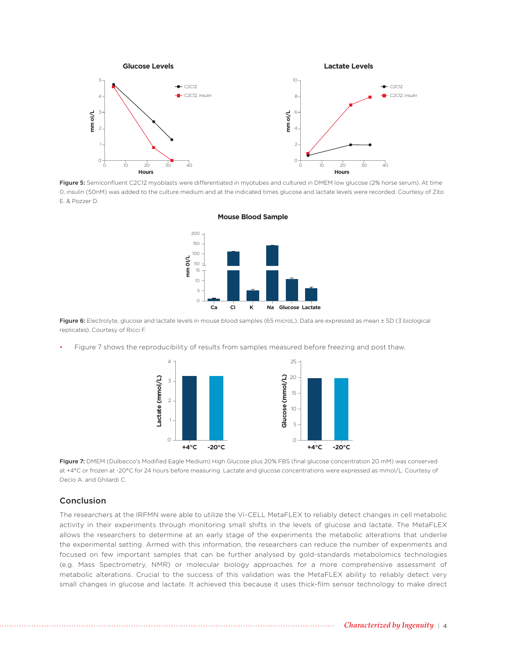

Figure 5: Semiconfluent C2C12 myoblasts were differentiated in myotubes and cultured in DMEM low glucose (2% horse serum). At time 0, insulin (50nM) was added to the culture medium and at the indicated times glucose and lactate levels were recorded. Courtesy of Zito E. & Pozzer D.



**Mouse Blood Sample**

Figure 6: Electrolyte, glucose and lactate levels in mouse blood samples (65 microL). Data are expressed as mean ± SD (3 biological replicates). Courtesy of Ricci F.

Figure 7 shows the reproducibility of results from samples measured before freezing and post thaw.



Figure 7: DMEM (Dulbecco's Modified Eagle Medium) High Glucose plus 20% FBS (final glucose concentration 20 mM) was conserved at +4°C or frozen at -20°C for 24 hours before measuring. Lactate and glucose concentrations were expressed as mmol/L. Courtesy of Decio A. and Ghilardi C.

### Conclusion

The researchers at the IRFMN were able to utilize the Vi-CELL MetaFLEX to reliably detect changes in cell metabolic activity in their experiments through monitoring small shifts in the levels of glucose and lactate. The MetaFLEX allows the researchers to determine at an early stage of the experiments the metabolic alterations that underlie the experimental setting. Armed with this information, the researchers can reduce the number of experiments and focused on few important samples that can be further analysed by gold-standards metabolomics technologies (e.g. Mass Spectrometry, NMR) or molecular biology approaches for a more comprehensive assessment of metabolic alterations. Crucial to the success of this validation was the MetaFLEX ability to reliably detect very small changes in glucose and lactate. It achieved this because it uses thick-film sensor technology to make direct